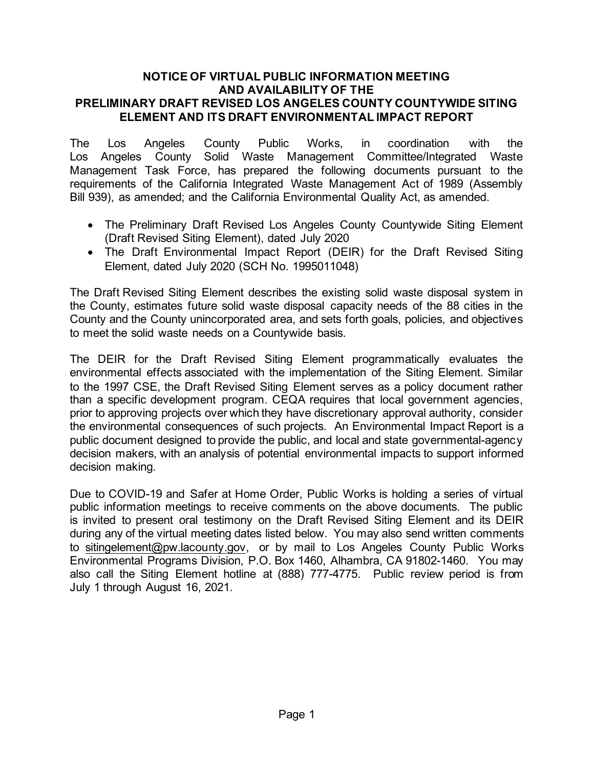## **NOTICE OF VIRTUAL PUBLIC INFORMATION MEETING AND AVAILABILITY OF THE PRELIMINARY DRAFT REVISED LOS ANGELES COUNTY COUNTYWIDE SITING ELEMENT AND ITS DRAFT ENVIRONMENTAL IMPACT REPORT**

The Los Angeles County Public Works, in coordination with the Los Angeles County Solid Waste Management Committee/Integrated Waste Management Task Force, has prepared the following documents pursuant to the requirements of the California Integrated Waste Management Act of 1989 (Assembly Bill 939), as amended; and the California Environmental Quality Act, as amended.

- The Preliminary Draft Revised Los Angeles County Countywide Siting Element (Draft Revised Siting Element), dated July 2020
- The Draft Environmental Impact Report (DEIR) for the Draft Revised Siting Element, dated July 2020 (SCH No. 1995011048)

The Draft Revised Siting Element describes the existing solid waste disposal system in the County, estimates future solid waste disposal capacity needs of the 88 cities in the County and the County unincorporated area, and sets forth goals, policies, and objectives to meet the solid waste needs on a Countywide basis.

The DEIR for the Draft Revised Siting Element programmatically evaluates the environmental effects associated with the implementation of the Siting Element. Similar to the 1997 CSE, the Draft Revised Siting Element serves as a policy document rather than a specific development program. CEQA requires that local government agencies, prior to approving projects over which they have discretionary approval authority, consider the environmental consequences of such projects. An Environmental Impact Report is a public document designed to provide the public, and local and state governmental-agency decision makers, with an analysis of potential environmental impacts to support informed decision making.

Due to COVID-19 and Safer at Home Order, Public Works is holding a series of virtual public information meetings to receive comments on the above documents. The public is invited to present oral testimony on the Draft Revised Siting Element and its DEIR during any of the virtual meeting dates listed below. You may also send written comments to [sitingelement@pw.lacounty.gov,](mailto:sitingelement@pw.lacounty.gov) or by mail to Los Angeles County Public Works Environmental Programs Division, P.O. Box 1460, Alhambra, CA 91802-1460. You may also call the Siting Element hotline at (888) 777-4775. Public review period is from July 1 through August 16, 2021.